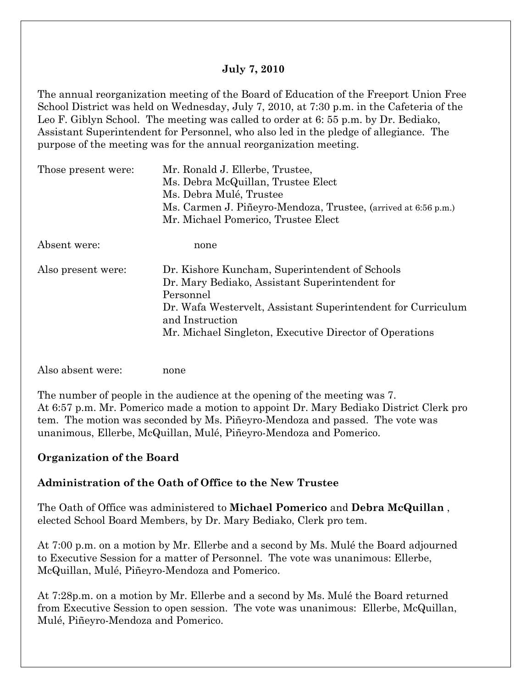#### **July 7, 2010**

The annual reorganization meeting of the Board of Education of the Freeport Union Free School District was held on Wednesday, July 7, 2010, at 7:30 p.m. in the Cafeteria of the Leo F. Giblyn School. The meeting was called to order at 6: 55 p.m. by Dr. Bediako, Assistant Superintendent for Personnel, who also led in the pledge of allegiance. The purpose of the meeting was for the annual reorganization meeting.

| Those present were: | Mr. Ronald J. Ellerbe, Trustee,                                |  |  |
|---------------------|----------------------------------------------------------------|--|--|
|                     | Ms. Debra McQuillan, Trustee Elect                             |  |  |
|                     | Ms. Debra Mulé, Trustee                                        |  |  |
|                     | Ms. Carmen J. Piñeyro-Mendoza, Trustee, (arrived at 6:56 p.m.) |  |  |
|                     | Mr. Michael Pomerico, Trustee Elect                            |  |  |
| Absent were:        | none                                                           |  |  |
| Also present were:  | Dr. Kishore Kuncham, Superintendent of Schools                 |  |  |
|                     | Dr. Mary Bediako, Assistant Superintendent for                 |  |  |
|                     | Personnel                                                      |  |  |
|                     | Dr. Wafa Westervelt, Assistant Superintendent for Curriculum   |  |  |
|                     | and Instruction                                                |  |  |
|                     | Mr. Michael Singleton, Executive Director of Operations        |  |  |
|                     |                                                                |  |  |
|                     |                                                                |  |  |

Also absent were: none

The number of people in the audience at the opening of the meeting was 7. At 6:57 p.m. Mr. Pomerico made a motion to appoint Dr. Mary Bediako District Clerk pro tem. The motion was seconded by Ms. Piñeyro-Mendoza and passed. The vote was unanimous, Ellerbe, McQuillan, Mulé, Piñeyro-Mendoza and Pomerico.

### **Organization of the Board**

#### **Administration of the Oath of Office to the New Trustee**

The Oath of Office was administered to **Michael Pomerico** and **Debra McQuillan** , elected School Board Members, by Dr. Mary Bediako, Clerk pro tem.

At 7:00 p.m. on a motion by Mr. Ellerbe and a second by Ms. Mulé the Board adjourned to Executive Session for a matter of Personnel. The vote was unanimous: Ellerbe, McQuillan, Mulé, Piñeyro-Mendoza and Pomerico.

At 7:28p.m. on a motion by Mr. Ellerbe and a second by Ms. Mulé the Board returned from Executive Session to open session. The vote was unanimous: Ellerbe, McQuillan, Mulé, Piñeyro-Mendoza and Pomerico.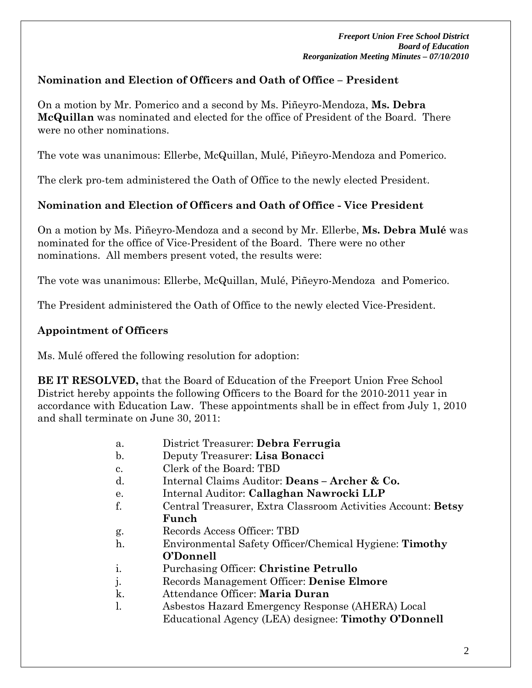## **Nomination and Election of Officers and Oath of Office – President**

On a motion by Mr. Pomerico and a second by Ms. Piñeyro-Mendoza, **Ms. Debra McQuillan** was nominated and elected for the office of President of the Board. There were no other nominations.

The vote was unanimous: Ellerbe, McQuillan, Mulé, Piñeyro-Mendoza and Pomerico.

The clerk pro-tem administered the Oath of Office to the newly elected President.

## **Nomination and Election of Officers and Oath of Office - Vice President**

On a motion by Ms. Piñeyro-Mendoza and a second by Mr. Ellerbe, **Ms. Debra Mulé** was nominated for the office of Vice-President of the Board. There were no other nominations. All members present voted, the results were:

The vote was unanimous: Ellerbe, McQuillan, Mulé, Piñeyro-Mendoza and Pomerico.

The President administered the Oath of Office to the newly elected Vice-President.

# **Appointment of Officers**

Ms. Mulé offered the following resolution for adoption:

**BE IT RESOLVED,** that the Board of Education of the Freeport Union Free School District hereby appoints the following Officers to the Board for the 2010-2011 year in accordance with Education Law. These appointments shall be in effect from July 1, 2010 and shall terminate on June 30, 2011:

- a. District Treasurer: **Debra Ferrugia**
- b. Deputy Treasurer: **Lisa Bonacci**
- c. Clerk of the Board: TBD
- d. Internal Claims Auditor: **Deans Archer & Co.**
- e. Internal Auditor: **Callaghan Nawrocki LLP**
- f. Central Treasurer, Extra Classroom Activities Account: **Betsy Funch**
- g. Records Access Officer: TBD
- h. Environmental Safety Officer/Chemical Hygiene: **Timothy O'Donnell**
- i. Purchasing Officer: **Christine Petrullo**
- j. Records Management Officer: **Denise Elmore**
- k. Attendance Officer: **Maria Duran**
- l. Asbestos Hazard Emergency Response (AHERA) Local Educational Agency (LEA) designee: **Timothy O'Donnell**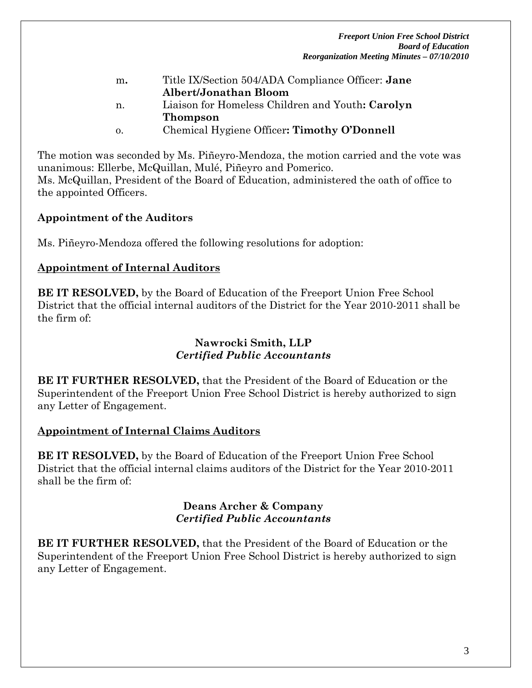*Freeport Union Free School District Board of Education Reorganization Meeting Minutes – 07/10/2010* 

| m.         | Title IX/Section 504/ADA Compliance Officer: Jane |
|------------|---------------------------------------------------|
|            | Albert/Jonathan Bloom                             |
| n.         | Liaison for Homeless Children and Youth: Carolyn  |
|            | <b>Thompson</b>                                   |
| $\Omega$ . | Chemical Hygiene Officer: Timothy O'Donnell       |

The motion was seconded by Ms. Piñeyro-Mendoza, the motion carried and the vote was unanimous: Ellerbe, McQuillan, Mulé, Piñeyro and Pomerico. Ms. McQuillan, President of the Board of Education, administered the oath of office to

### **Appointment of the Auditors**

the appointed Officers.

Ms. Piñeyro-Mendoza offered the following resolutions for adoption:

#### **Appointment of Internal Auditors**

**BE IT RESOLVED,** by the Board of Education of the Freeport Union Free School District that the official internal auditors of the District for the Year 2010-2011 shall be the firm of:

### **Nawrocki Smith, LLP**  *Certified Public Accountants*

**BE IT FURTHER RESOLVED,** that the President of the Board of Education or the Superintendent of the Freeport Union Free School District is hereby authorized to sign any Letter of Engagement.

#### **Appointment of Internal Claims Auditors**

**BE IT RESOLVED,** by the Board of Education of the Freeport Union Free School District that the official internal claims auditors of the District for the Year 2010-2011 shall be the firm of:

#### **Deans Archer & Company**  *Certified Public Accountants*

**BE IT FURTHER RESOLVED,** that the President of the Board of Education or the Superintendent of the Freeport Union Free School District is hereby authorized to sign any Letter of Engagement.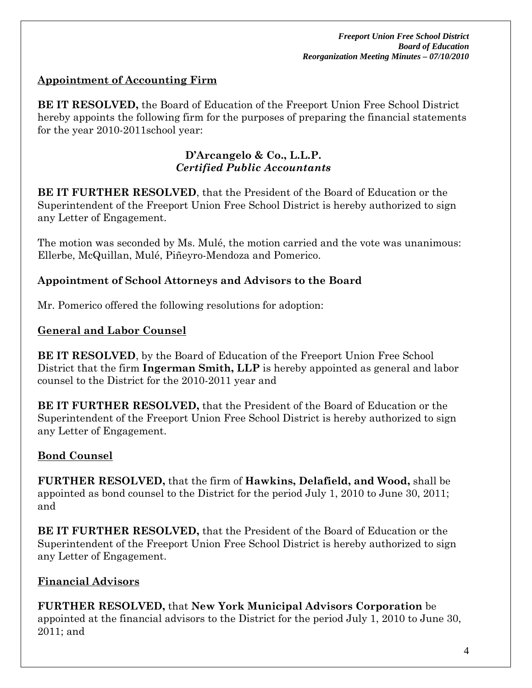## **Appointment of Accounting Firm**

**BE IT RESOLVED,** the Board of Education of the Freeport Union Free School District hereby appoints the following firm for the purposes of preparing the financial statements for the year 2010-2011school year:

#### **D'Arcangelo & Co., L.L.P.** *Certified Public Accountants*

**BE IT FURTHER RESOLVED**, that the President of the Board of Education or the Superintendent of the Freeport Union Free School District is hereby authorized to sign any Letter of Engagement.

The motion was seconded by Ms. Mulé, the motion carried and the vote was unanimous: Ellerbe, McQuillan, Mulé, Piñeyro-Mendoza and Pomerico.

### **Appointment of School Attorneys and Advisors to the Board**

Mr. Pomerico offered the following resolutions for adoption:

### **General and Labor Counsel**

**BE IT RESOLVED**, by the Board of Education of the Freeport Union Free School District that the firm **Ingerman Smith, LLP** is hereby appointed as general and labor counsel to the District for the 2010-2011 year and

**BE IT FURTHER RESOLVED,** that the President of the Board of Education or the Superintendent of the Freeport Union Free School District is hereby authorized to sign any Letter of Engagement.

## **Bond Counsel**

**FURTHER RESOLVED,** that the firm of **Hawkins, Delafield, and Wood,** shall be appointed as bond counsel to the District for the period July 1, 2010 to June 30, 2011; and

**BE IT FURTHER RESOLVED,** that the President of the Board of Education or the Superintendent of the Freeport Union Free School District is hereby authorized to sign any Letter of Engagement.

## **Financial Advisors**

**FURTHER RESOLVED,** that **New York Municipal Advisors Corporation** be appointed at the financial advisors to the District for the period July 1, 2010 to June 30, 2011; and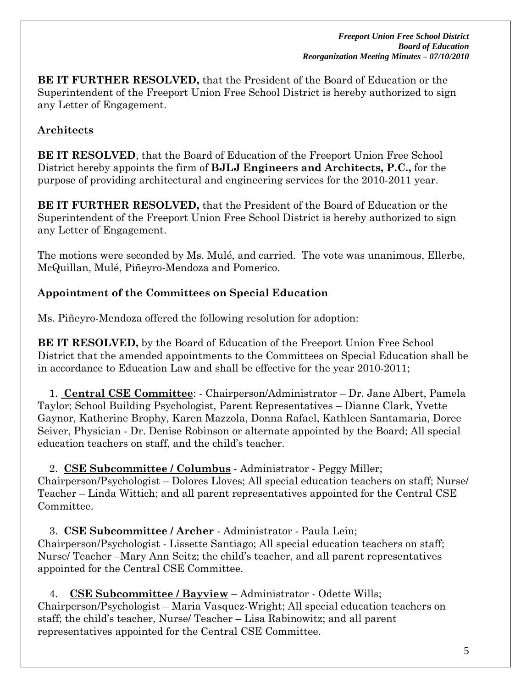**BE IT FURTHER RESOLVED,** that the President of the Board of Education or the Superintendent of the Freeport Union Free School District is hereby authorized to sign any Letter of Engagement.

# **Architects**

**BE IT RESOLVED**, that the Board of Education of the Freeport Union Free School District hereby appoints the firm of **BJLJ Engineers and Architects, P.C.,** for the purpose of providing architectural and engineering services for the 2010-2011 year.

**BE IT FURTHER RESOLVED,** that the President of the Board of Education or the Superintendent of the Freeport Union Free School District is hereby authorized to sign any Letter of Engagement.

The motions were seconded by Ms. Mulé, and carried. The vote was unanimous, Ellerbe, McQuillan, Mulé, Piñeyro-Mendoza and Pomerico.

## **Appointment of the Committees on Special Education**

Ms. Piñeyro-Mendoza offered the following resolution for adoption:

**BE IT RESOLVED,** by the Board of Education of the Freeport Union Free School District that the amended appointments to the Committees on Special Education shall be in accordance to Education Law and shall be effective for the year 2010-2011;

 1. **Central CSE Committee**: - Chairperson/Administrator – Dr. Jane Albert, Pamela Taylor; School Building Psychologist, Parent Representatives – Dianne Clark, Yvette Gaynor, Katherine Brophy, Karen Mazzola, Donna Rafael, Kathleen Santamaria, Doree Seiver, Physician - Dr. Denise Robinson or alternate appointed by the Board; All special education teachers on staff, and the child's teacher.

 2. **CSE Subcommittee / Columbus** - Administrator - Peggy Miller; Chairperson/Psychologist – Dolores Lloves; All special education teachers on staff; Nurse/ Teacher – Linda Wittich; and all parent representatives appointed for the Central CSE Committee.

 3. **CSE Subcommittee / Archer** - Administrator - Paula Lein; Chairperson/Psychologist - Lissette Santiago; All special education teachers on staff; Nurse/ Teacher –Mary Ann Seitz; the child's teacher, and all parent representatives appointed for the Central CSE Committee.

 4. **CSE Subcommittee / Bayview** – Administrator - Odette Wills; Chairperson/Psychologist – Maria Vasquez-Wright; All special education teachers on staff; the child's teacher, Nurse/ Teacher – Lisa Rabinowitz; and all parent representatives appointed for the Central CSE Committee.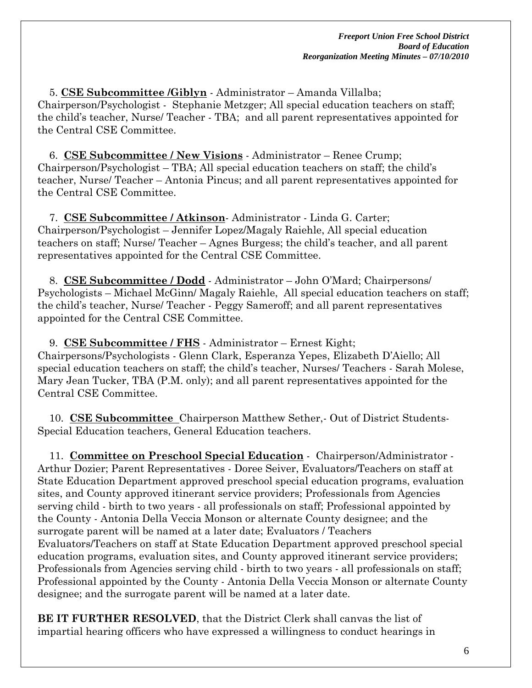5. **CSE Subcommittee /Giblyn** - Administrator – Amanda Villalba; Chairperson/Psychologist - Stephanie Metzger; All special education teachers on staff; the child's teacher, Nurse/ Teacher - TBA; and all parent representatives appointed for the Central CSE Committee.

 6. **CSE Subcommittee / New Visions** - Administrator – Renee Crump; Chairperson/Psychologist – TBA; All special education teachers on staff; the child's teacher, Nurse/ Teacher – Antonia Pincus; and all parent representatives appointed for the Central CSE Committee.

 7. **CSE Subcommittee / Atkinson**- Administrator - Linda G. Carter; Chairperson/Psychologist – Jennifer Lopez/Magaly Raiehle, All special education teachers on staff; Nurse/ Teacher – Agnes Burgess; the child's teacher, and all parent representatives appointed for the Central CSE Committee.

 8. **CSE Subcommittee / Dodd** - Administrator – John O'Mard; Chairpersons/ Psychologists – Michael McGinn/ Magaly Raiehle, All special education teachers on staff; the child's teacher, Nurse/ Teacher - Peggy Sameroff; and all parent representatives appointed for the Central CSE Committee.

 9. **CSE Subcommittee / FHS** - Administrator – Ernest Kight; Chairpersons/Psychologists - Glenn Clark, Esperanza Yepes, Elizabeth D'Aiello; All special education teachers on staff; the child's teacher, Nurses/ Teachers - Sarah Molese, Mary Jean Tucker, TBA (P.M. only); and all parent representatives appointed for the Central CSE Committee.

 10. **CSE Subcommittee** Chairperson Matthew Sether,- Out of District Students-Special Education teachers, General Education teachers.

 11. **Committee on Preschool Special Education** - Chairperson/Administrator - Arthur Dozier; Parent Representatives - Doree Seiver, Evaluators/Teachers on staff at State Education Department approved preschool special education programs, evaluation sites, and County approved itinerant service providers; Professionals from Agencies serving child - birth to two years - all professionals on staff; Professional appointed by the County - Antonia Della Veccia Monson or alternate County designee; and the surrogate parent will be named at a later date; Evaluators / Teachers Evaluators/Teachers on staff at State Education Department approved preschool special education programs, evaluation sites, and County approved itinerant service providers; Professionals from Agencies serving child - birth to two years - all professionals on staff; Professional appointed by the County - Antonia Della Veccia Monson or alternate County designee; and the surrogate parent will be named at a later date.

**BE IT FURTHER RESOLVED**, that the District Clerk shall canvas the list of impartial hearing officers who have expressed a willingness to conduct hearings in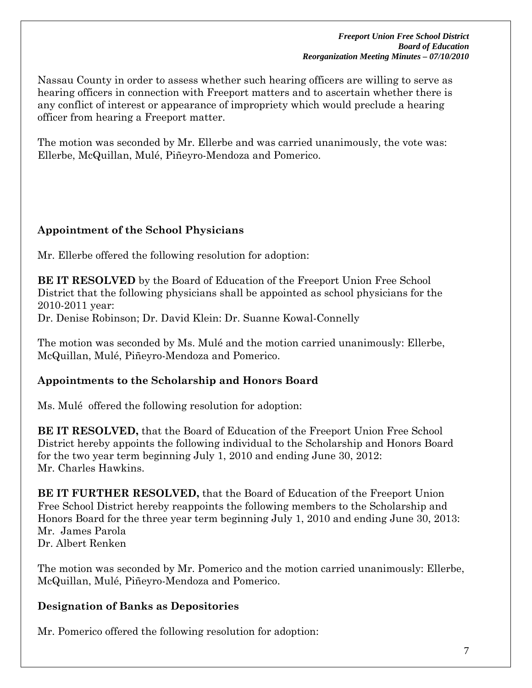Nassau County in order to assess whether such hearing officers are willing to serve as hearing officers in connection with Freeport matters and to ascertain whether there is any conflict of interest or appearance of impropriety which would preclude a hearing officer from hearing a Freeport matter.

The motion was seconded by Mr. Ellerbe and was carried unanimously, the vote was: Ellerbe, McQuillan, Mulé, Piñeyro-Mendoza and Pomerico.

# **Appointment of the School Physicians**

Mr. Ellerbe offered the following resolution for adoption:

**BE IT RESOLVED** by the Board of Education of the Freeport Union Free School District that the following physicians shall be appointed as school physicians for the 2010-2011 year:

Dr. Denise Robinson; Dr. David Klein: Dr. Suanne Kowal-Connelly

The motion was seconded by Ms. Mulé and the motion carried unanimously: Ellerbe, McQuillan, Mulé, Piñeyro-Mendoza and Pomerico.

## **Appointments to the Scholarship and Honors Board**

Ms. Mulé offered the following resolution for adoption:

**BE IT RESOLVED,** that the Board of Education of the Freeport Union Free School District hereby appoints the following individual to the Scholarship and Honors Board for the two year term beginning July 1, 2010 and ending June 30, 2012: Mr. Charles Hawkins.

**BE IT FURTHER RESOLVED,** that the Board of Education of the Freeport Union Free School District hereby reappoints the following members to the Scholarship and Honors Board for the three year term beginning July 1, 2010 and ending June 30, 2013: Mr. James Parola Dr. Albert Renken

The motion was seconded by Mr. Pomerico and the motion carried unanimously: Ellerbe, McQuillan, Mulé, Piñeyro-Mendoza and Pomerico.

## **Designation of Banks as Depositories**

Mr. Pomerico offered the following resolution for adoption: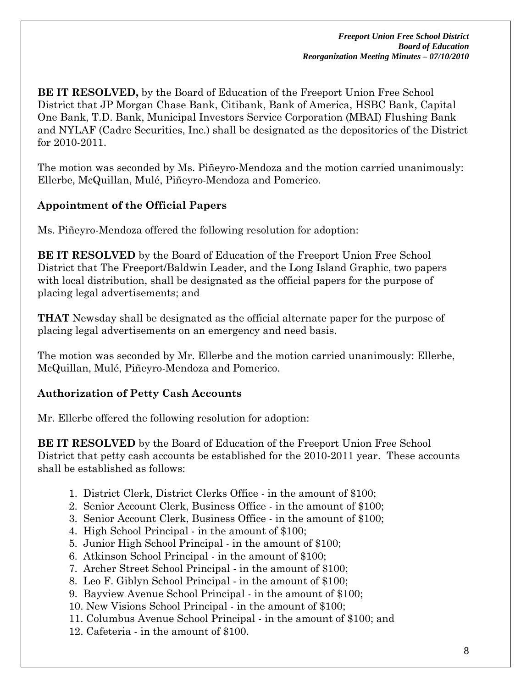**BE IT RESOLVED,** by the Board of Education of the Freeport Union Free School District that JP Morgan Chase Bank, Citibank, Bank of America, HSBC Bank, Capital One Bank, T.D. Bank, Municipal Investors Service Corporation (MBAI) Flushing Bank and NYLAF (Cadre Securities, Inc.) shall be designated as the depositories of the District for 2010-2011.

The motion was seconded by Ms. Piñeyro-Mendoza and the motion carried unanimously: Ellerbe, McQuillan, Mulé, Piñeyro-Mendoza and Pomerico.

## **Appointment of the Official Papers**

Ms. Piñeyro-Mendoza offered the following resolution for adoption:

**BE IT RESOLVED** by the Board of Education of the Freeport Union Free School District that The Freeport/Baldwin Leader, and the Long Island Graphic, two papers with local distribution, shall be designated as the official papers for the purpose of placing legal advertisements; and

**THAT** Newsday shall be designated as the official alternate paper for the purpose of placing legal advertisements on an emergency and need basis.

The motion was seconded by Mr. Ellerbe and the motion carried unanimously: Ellerbe, McQuillan, Mulé, Piñeyro-Mendoza and Pomerico.

## **Authorization of Petty Cash Accounts**

Mr. Ellerbe offered the following resolution for adoption:

**BE IT RESOLVED** by the Board of Education of the Freeport Union Free School District that petty cash accounts be established for the 2010-2011 year. These accounts shall be established as follows:

- 1. District Clerk, District Clerks Office in the amount of \$100;
- 2. Senior Account Clerk, Business Office in the amount of \$100;
- 3. Senior Account Clerk, Business Office in the amount of \$100;
- 4. High School Principal in the amount of \$100;
- 5. Junior High School Principal in the amount of \$100;
- 6. Atkinson School Principal in the amount of \$100;
- 7. Archer Street School Principal in the amount of \$100;
- 8. Leo F. Giblyn School Principal in the amount of \$100;
- 9. Bayview Avenue School Principal in the amount of \$100;
- 10. New Visions School Principal in the amount of \$100;
- 11. Columbus Avenue School Principal in the amount of \$100; and
- 12. Cafeteria in the amount of \$100.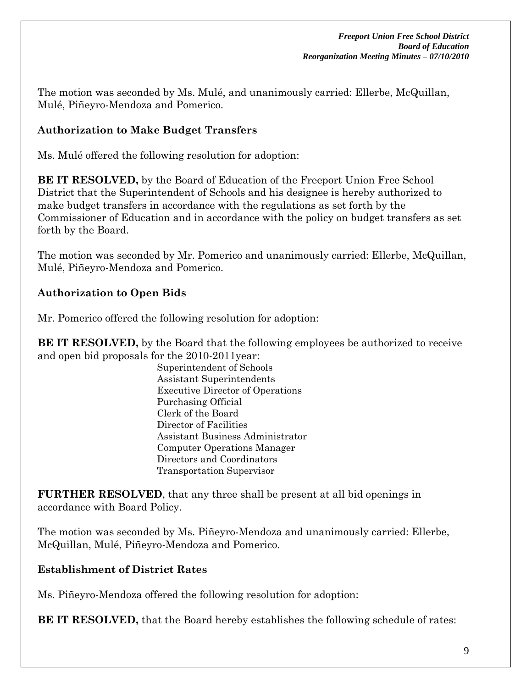The motion was seconded by Ms. Mulé, and unanimously carried: Ellerbe, McQuillan, Mulé, Piñeyro-Mendoza and Pomerico.

## **Authorization to Make Budget Transfers**

Ms. Mulé offered the following resolution for adoption:

**BE IT RESOLVED,** by the Board of Education of the Freeport Union Free School District that the Superintendent of Schools and his designee is hereby authorized to make budget transfers in accordance with the regulations as set forth by the Commissioner of Education and in accordance with the policy on budget transfers as set forth by the Board.

The motion was seconded by Mr. Pomerico and unanimously carried: Ellerbe, McQuillan, Mulé, Piñeyro-Mendoza and Pomerico.

# **Authorization to Open Bids**

Mr. Pomerico offered the following resolution for adoption:

**BE IT RESOLVED,** by the Board that the following employees be authorized to receive and open bid proposals for the 2010-2011year:

Superintendent of Schools Assistant Superintendents Executive Director of Operations Purchasing Official Clerk of the Board Director of Facilities Assistant Business Administrator Computer Operations Manager Directors and Coordinators Transportation Supervisor

**FURTHER RESOLVED**, that any three shall be present at all bid openings in accordance with Board Policy.

The motion was seconded by Ms. Piñeyro-Mendoza and unanimously carried: Ellerbe, McQuillan, Mulé, Piñeyro-Mendoza and Pomerico.

## **Establishment of District Rates**

Ms. Piñeyro-Mendoza offered the following resolution for adoption:

**BE IT RESOLVED,** that the Board hereby establishes the following schedule of rates: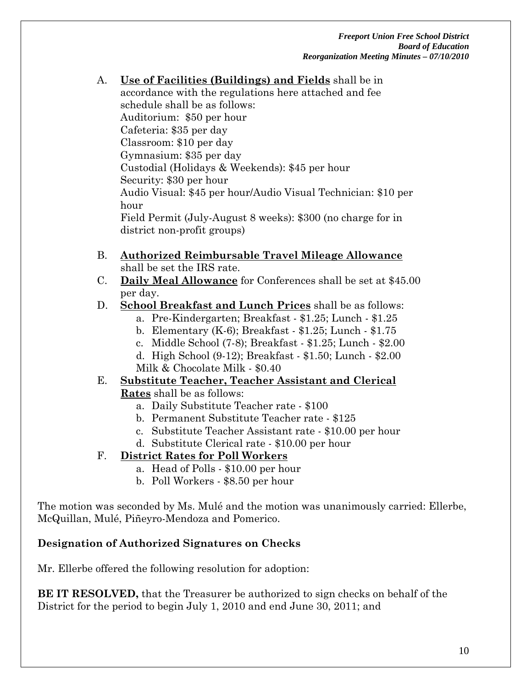*Freeport Union Free School District Board of Education Reorganization Meeting Minutes – 07/10/2010* 

- A. **Use of Facilities (Buildings) and Fields** shall be in accordance with the regulations here attached and fee schedule shall be as follows: Auditorium: \$50 per hour Cafeteria: \$35 per day Classroom: \$10 per day Gymnasium: \$35 per day Custodial (Holidays & Weekends): \$45 per hour Security: \$30 per hour Audio Visual: \$45 per hour/Audio Visual Technician: \$10 per hour Field Permit (July-August 8 weeks): \$300 (no charge for in district non-profit groups)
- B. **Authorized Reimbursable Travel Mileage Allowance** shall be set the IRS rate.
- C. **Daily Meal Allowance** for Conferences shall be set at \$45.00 per day.
- D. **School Breakfast and Lunch Prices** shall be as follows:
	- a. Pre-Kindergarten; Breakfast \$1.25; Lunch \$1.25
	- b. Elementary (K-6); Breakfast \$1.25; Lunch \$1.75
	- c. Middle School (7-8); Breakfast \$1.25; Lunch \$2.00
	- d. High School (9-12); Breakfast \$1.50; Lunch \$2.00
	- Milk & Chocolate Milk \$0.40

#### E. **Substitute Teacher, Teacher Assistant and Clerical Rates** shall be as follows:

- a. Daily Substitute Teacher rate \$100
- b. Permanent Substitute Teacher rate \$125
- c. Substitute Teacher Assistant rate \$10.00 per hour
- d. Substitute Clerical rate \$10.00 per hour

## F. **District Rates for Poll Workers**

- a. Head of Polls \$10.00 per hour
- b. Poll Workers \$8.50 per hour

The motion was seconded by Ms. Mulé and the motion was unanimously carried: Ellerbe, McQuillan, Mulé, Piñeyro-Mendoza and Pomerico.

## **Designation of Authorized Signatures on Checks**

Mr. Ellerbe offered the following resolution for adoption:

**BE IT RESOLVED,** that the Treasurer be authorized to sign checks on behalf of the District for the period to begin July 1, 2010 and end June 30, 2011; and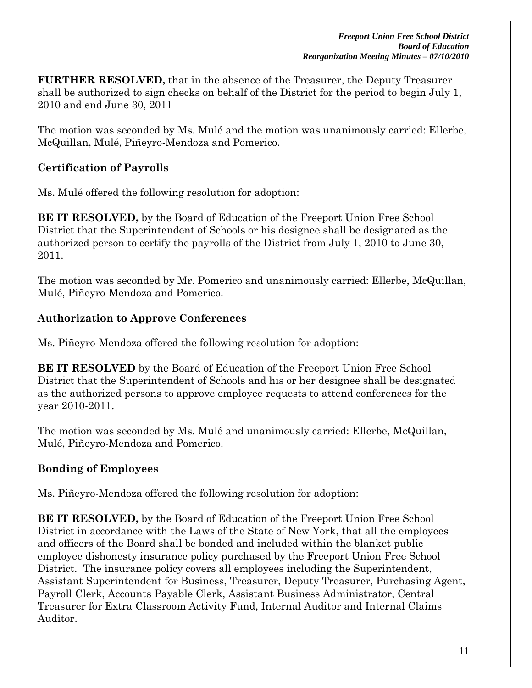**FURTHER RESOLVED,** that in the absence of the Treasurer, the Deputy Treasurer shall be authorized to sign checks on behalf of the District for the period to begin July 1, 2010 and end June 30, 2011

The motion was seconded by Ms. Mulé and the motion was unanimously carried: Ellerbe, McQuillan, Mulé, Piñeyro-Mendoza and Pomerico.

# **Certification of Payrolls**

Ms. Mulé offered the following resolution for adoption:

**BE IT RESOLVED,** by the Board of Education of the Freeport Union Free School District that the Superintendent of Schools or his designee shall be designated as the authorized person to certify the payrolls of the District from July 1, 2010 to June 30, 2011.

The motion was seconded by Mr. Pomerico and unanimously carried: Ellerbe, McQuillan, Mulé, Piñeyro-Mendoza and Pomerico.

## **Authorization to Approve Conferences**

Ms. Piñeyro-Mendoza offered the following resolution for adoption:

**BE IT RESOLVED** by the Board of Education of the Freeport Union Free School District that the Superintendent of Schools and his or her designee shall be designated as the authorized persons to approve employee requests to attend conferences for the year 2010-2011.

The motion was seconded by Ms. Mulé and unanimously carried: Ellerbe, McQuillan, Mulé, Piñeyro-Mendoza and Pomerico.

## **Bonding of Employees**

Ms. Piñeyro-Mendoza offered the following resolution for adoption:

**BE IT RESOLVED,** by the Board of Education of the Freeport Union Free School District in accordance with the Laws of the State of New York, that all the employees and officers of the Board shall be bonded and included within the blanket public employee dishonesty insurance policy purchased by the Freeport Union Free School District. The insurance policy covers all employees including the Superintendent, Assistant Superintendent for Business, Treasurer, Deputy Treasurer, Purchasing Agent, Payroll Clerk, Accounts Payable Clerk, Assistant Business Administrator, Central Treasurer for Extra Classroom Activity Fund, Internal Auditor and Internal Claims Auditor.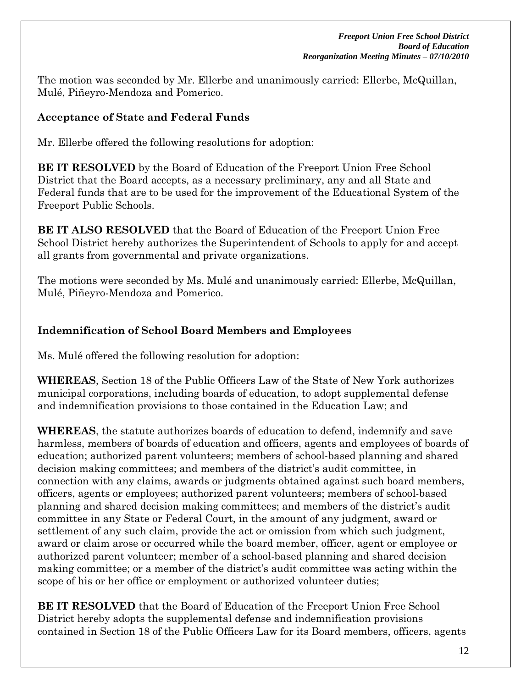The motion was seconded by Mr. Ellerbe and unanimously carried: Ellerbe, McQuillan, Mulé, Piñeyro-Mendoza and Pomerico.

## **Acceptance of State and Federal Funds**

Mr. Ellerbe offered the following resolutions for adoption:

**BE IT RESOLVED** by the Board of Education of the Freeport Union Free School District that the Board accepts, as a necessary preliminary, any and all State and Federal funds that are to be used for the improvement of the Educational System of the Freeport Public Schools.

**BE IT ALSO RESOLVED** that the Board of Education of the Freeport Union Free School District hereby authorizes the Superintendent of Schools to apply for and accept all grants from governmental and private organizations.

The motions were seconded by Ms. Mulé and unanimously carried: Ellerbe, McQuillan, Mulé, Piñeyro-Mendoza and Pomerico.

# **Indemnification of School Board Members and Employees**

Ms. Mulé offered the following resolution for adoption:

**WHEREAS**, Section 18 of the Public Officers Law of the State of New York authorizes municipal corporations, including boards of education, to adopt supplemental defense and indemnification provisions to those contained in the Education Law; and

**WHEREAS**, the statute authorizes boards of education to defend, indemnify and save harmless, members of boards of education and officers, agents and employees of boards of education; authorized parent volunteers; members of school-based planning and shared decision making committees; and members of the district's audit committee, in connection with any claims, awards or judgments obtained against such board members, officers, agents or employees; authorized parent volunteers; members of school-based planning and shared decision making committees; and members of the district's audit committee in any State or Federal Court, in the amount of any judgment, award or settlement of any such claim, provide the act or omission from which such judgment, award or claim arose or occurred while the board member, officer, agent or employee or authorized parent volunteer; member of a school-based planning and shared decision making committee; or a member of the district's audit committee was acting within the scope of his or her office or employment or authorized volunteer duties;

**BE IT RESOLVED** that the Board of Education of the Freeport Union Free School District hereby adopts the supplemental defense and indemnification provisions contained in Section 18 of the Public Officers Law for its Board members, officers, agents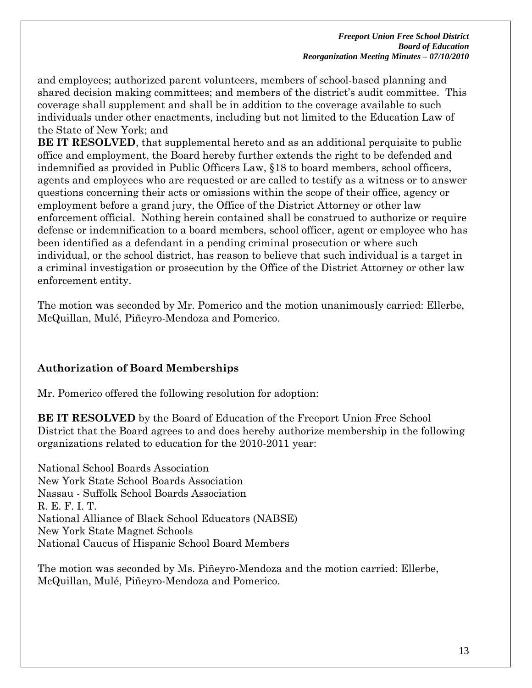and employees; authorized parent volunteers, members of school-based planning and shared decision making committees; and members of the district's audit committee. This coverage shall supplement and shall be in addition to the coverage available to such individuals under other enactments, including but not limited to the Education Law of the State of New York; and

**BE IT RESOLVED**, that supplemental hereto and as an additional perquisite to public office and employment, the Board hereby further extends the right to be defended and indemnified as provided in Public Officers Law, §18 to board members, school officers, agents and employees who are requested or are called to testify as a witness or to answer questions concerning their acts or omissions within the scope of their office, agency or employment before a grand jury, the Office of the District Attorney or other law enforcement official. Nothing herein contained shall be construed to authorize or require defense or indemnification to a board members, school officer, agent or employee who has been identified as a defendant in a pending criminal prosecution or where such individual, or the school district, has reason to believe that such individual is a target in a criminal investigation or prosecution by the Office of the District Attorney or other law enforcement entity.

The motion was seconded by Mr. Pomerico and the motion unanimously carried: Ellerbe, McQuillan, Mulé, Piñeyro-Mendoza and Pomerico.

## **Authorization of Board Memberships**

Mr. Pomerico offered the following resolution for adoption:

**BE IT RESOLVED** by the Board of Education of the Freeport Union Free School District that the Board agrees to and does hereby authorize membership in the following organizations related to education for the 2010-2011 year:

National School Boards Association New York State School Boards Association Nassau - Suffolk School Boards Association R. E. F. I. T. National Alliance of Black School Educators (NABSE) New York State Magnet Schools National Caucus of Hispanic School Board Members

The motion was seconded by Ms. Piñeyro-Mendoza and the motion carried: Ellerbe, McQuillan, Mulé, Piñeyro-Mendoza and Pomerico.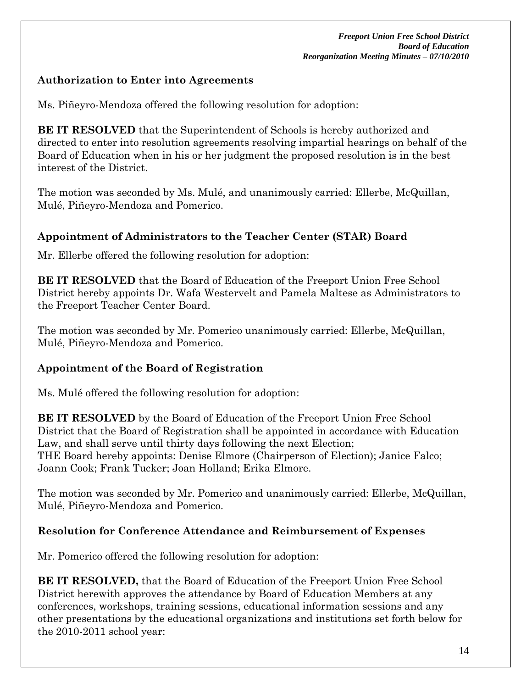## **Authorization to Enter into Agreements**

Ms. Piñeyro-Mendoza offered the following resolution for adoption:

**BE IT RESOLVED** that the Superintendent of Schools is hereby authorized and directed to enter into resolution agreements resolving impartial hearings on behalf of the Board of Education when in his or her judgment the proposed resolution is in the best interest of the District.

The motion was seconded by Ms. Mulé, and unanimously carried: Ellerbe, McQuillan, Mulé, Piñeyro-Mendoza and Pomerico.

# **Appointment of Administrators to the Teacher Center (STAR) Board**

Mr. Ellerbe offered the following resolution for adoption:

**BE IT RESOLVED** that the Board of Education of the Freeport Union Free School District hereby appoints Dr. Wafa Westervelt and Pamela Maltese as Administrators to the Freeport Teacher Center Board.

The motion was seconded by Mr. Pomerico unanimously carried: Ellerbe, McQuillan, Mulé, Piñeyro-Mendoza and Pomerico.

## **Appointment of the Board of Registration**

Ms. Mulé offered the following resolution for adoption:

**BE IT RESOLVED** by the Board of Education of the Freeport Union Free School District that the Board of Registration shall be appointed in accordance with Education Law, and shall serve until thirty days following the next Election; THE Board hereby appoints: Denise Elmore (Chairperson of Election); Janice Falco; Joann Cook; Frank Tucker; Joan Holland; Erika Elmore.

The motion was seconded by Mr. Pomerico and unanimously carried: Ellerbe, McQuillan, Mulé, Piñeyro-Mendoza and Pomerico.

## **Resolution for Conference Attendance and Reimbursement of Expenses**

Mr. Pomerico offered the following resolution for adoption:

**BE IT RESOLVED,** that the Board of Education of the Freeport Union Free School District herewith approves the attendance by Board of Education Members at any conferences, workshops, training sessions, educational information sessions and any other presentations by the educational organizations and institutions set forth below for the 2010-2011 school year: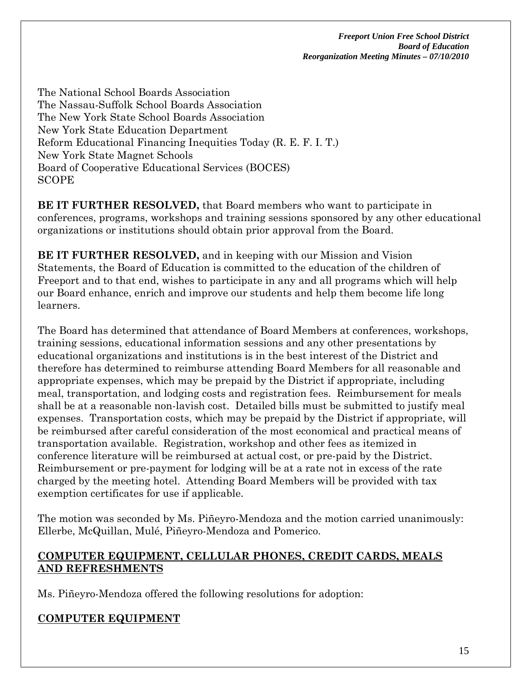The National School Boards Association The Nassau-Suffolk School Boards Association The New York State School Boards Association New York State Education Department Reform Educational Financing Inequities Today (R. E. F. I. T.) New York State Magnet Schools Board of Cooperative Educational Services (BOCES) SCOPE

**BE IT FURTHER RESOLVED,** that Board members who want to participate in conferences, programs, workshops and training sessions sponsored by any other educational organizations or institutions should obtain prior approval from the Board.

**BE IT FURTHER RESOLVED,** and in keeping with our Mission and Vision Statements, the Board of Education is committed to the education of the children of Freeport and to that end, wishes to participate in any and all programs which will help our Board enhance, enrich and improve our students and help them become life long learners.

The Board has determined that attendance of Board Members at conferences, workshops, training sessions, educational information sessions and any other presentations by educational organizations and institutions is in the best interest of the District and therefore has determined to reimburse attending Board Members for all reasonable and appropriate expenses, which may be prepaid by the District if appropriate, including meal, transportation, and lodging costs and registration fees. Reimbursement for meals shall be at a reasonable non-lavish cost. Detailed bills must be submitted to justify meal expenses. Transportation costs, which may be prepaid by the District if appropriate, will be reimbursed after careful consideration of the most economical and practical means of transportation available. Registration, workshop and other fees as itemized in conference literature will be reimbursed at actual cost, or pre-paid by the District. Reimbursement or pre-payment for lodging will be at a rate not in excess of the rate charged by the meeting hotel. Attending Board Members will be provided with tax exemption certificates for use if applicable.

The motion was seconded by Ms. Piñeyro-Mendoza and the motion carried unanimously: Ellerbe, McQuillan, Mulé, Piñeyro-Mendoza and Pomerico.

### **COMPUTER EQUIPMENT, CELLULAR PHONES, CREDIT CARDS, MEALS AND REFRESHMENTS**

Ms. Piñeyro-Mendoza offered the following resolutions for adoption:

## **COMPUTER EQUIPMENT**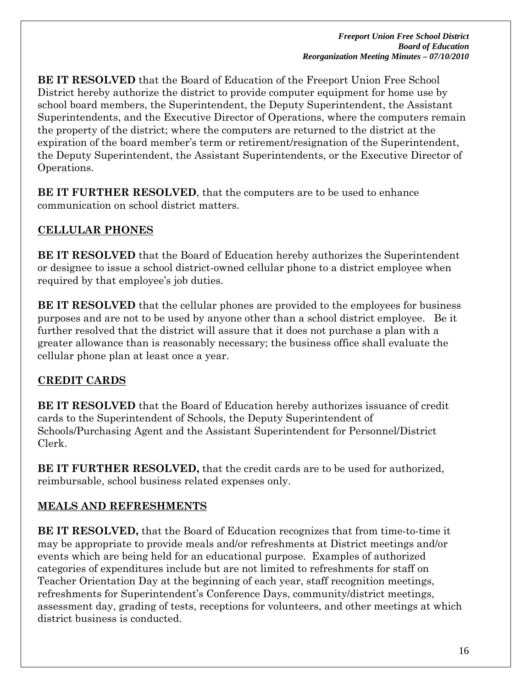**BE IT RESOLVED** that the Board of Education of the Freeport Union Free School District hereby authorize the district to provide computer equipment for home use by school board members, the Superintendent, the Deputy Superintendent, the Assistant Superintendents, and the Executive Director of Operations, where the computers remain the property of the district; where the computers are returned to the district at the expiration of the board member's term or retirement/resignation of the Superintendent, the Deputy Superintendent, the Assistant Superintendents, or the Executive Director of Operations.

**BE IT FURTHER RESOLVED**, that the computers are to be used to enhance communication on school district matters.

# **CELLULAR PHONES**

**BE IT RESOLVED** that the Board of Education hereby authorizes the Superintendent or designee to issue a school district-owned cellular phone to a district employee when required by that employee's job duties.

**BE IT RESOLVED** that the cellular phones are provided to the employees for business purposes and are not to be used by anyone other than a school district employee. Be it further resolved that the district will assure that it does not purchase a plan with a greater allowance than is reasonably necessary; the business office shall evaluate the cellular phone plan at least once a year.

## **CREDIT CARDS**

**BE IT RESOLVED** that the Board of Education hereby authorizes issuance of credit cards to the Superintendent of Schools, the Deputy Superintendent of Schools/Purchasing Agent and the Assistant Superintendent for Personnel/District Clerk.

**BE IT FURTHER RESOLVED,** that the credit cards are to be used for authorized, reimbursable, school business related expenses only.

# **MEALS AND REFRESHMENTS**

**BE IT RESOLVED,** that the Board of Education recognizes that from time-to-time it may be appropriate to provide meals and/or refreshments at District meetings and/or events which are being held for an educational purpose. Examples of authorized categories of expenditures include but are not limited to refreshments for staff on Teacher Orientation Day at the beginning of each year, staff recognition meetings, refreshments for Superintendent's Conference Days, community/district meetings, assessment day, grading of tests, receptions for volunteers, and other meetings at which district business is conducted.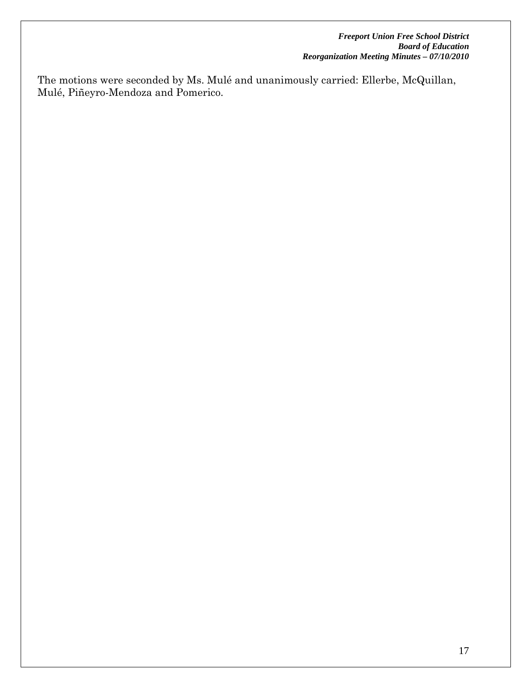The motions were seconded by Ms. Mulé and unanimously carried: Ellerbe, McQuillan, Mulé, Piñeyro-Mendoza and Pomerico.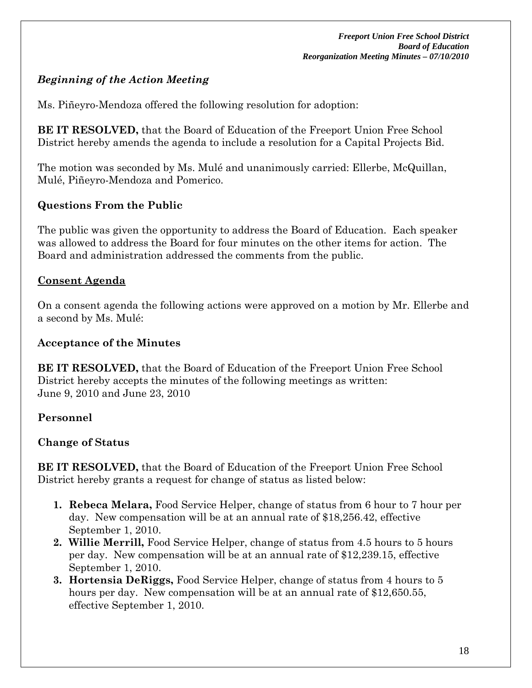# *Beginning of the Action Meeting*

Ms. Piñeyro-Mendoza offered the following resolution for adoption:

**BE IT RESOLVED,** that the Board of Education of the Freeport Union Free School District hereby amends the agenda to include a resolution for a Capital Projects Bid.

The motion was seconded by Ms. Mulé and unanimously carried: Ellerbe, McQuillan, Mulé, Piñeyro-Mendoza and Pomerico.

### **Questions From the Public**

The public was given the opportunity to address the Board of Education. Each speaker was allowed to address the Board for four minutes on the other items for action. The Board and administration addressed the comments from the public.

### **Consent Agenda**

On a consent agenda the following actions were approved on a motion by Mr. Ellerbe and a second by Ms. Mulé:

### **Acceptance of the Minutes**

**BE IT RESOLVED,** that the Board of Education of the Freeport Union Free School District hereby accepts the minutes of the following meetings as written: June 9, 2010 and June 23, 2010

## **Personnel**

## **Change of Status**

**BE IT RESOLVED,** that the Board of Education of the Freeport Union Free School District hereby grants a request for change of status as listed below:

- **1. Rebeca Melara,** Food Service Helper, change of status from 6 hour to 7 hour per day. New compensation will be at an annual rate of \$18,256.42, effective September 1, 2010.
- **2. Willie Merrill,** Food Service Helper, change of status from 4.5 hours to 5 hours per day. New compensation will be at an annual rate of \$12,239.15, effective September 1, 2010.
- **3. Hortensia DeRiggs,** Food Service Helper, change of status from 4 hours to 5 hours per day. New compensation will be at an annual rate of \$12,650.55, effective September 1, 2010.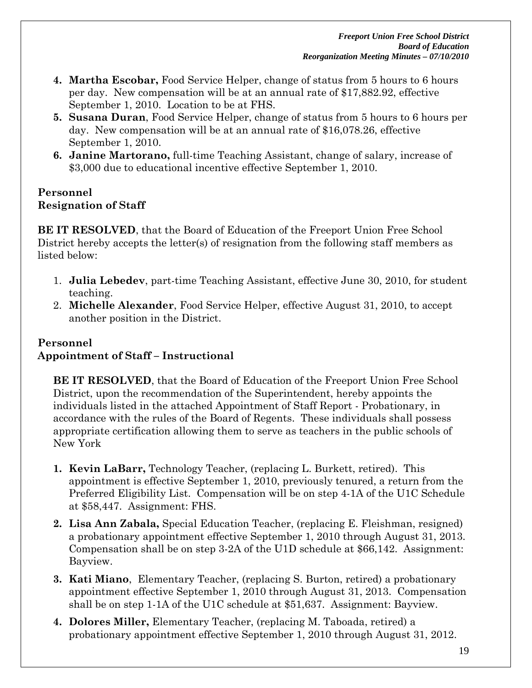- **4. Martha Escobar,** Food Service Helper, change of status from 5 hours to 6 hours per day. New compensation will be at an annual rate of \$17,882.92, effective September 1, 2010. Location to be at FHS.
- **5. Susana Duran**, Food Service Helper, change of status from 5 hours to 6 hours per day. New compensation will be at an annual rate of \$16,078.26, effective September 1, 2010.
- **6. Janine Martorano,** full-time Teaching Assistant, change of salary, increase of \$3,000 due to educational incentive effective September 1, 2010.

### **Personnel Resignation of Staff**

**BE IT RESOLVED**, that the Board of Education of the Freeport Union Free School District hereby accepts the letter(s) of resignation from the following staff members as listed below:

- 1. **Julia Lebedev**, part-time Teaching Assistant, effective June 30, 2010, for student teaching.
- 2. **Michelle Alexander**, Food Service Helper, effective August 31, 2010, to accept another position in the District.

# **Personnel Appointment of Staff – Instructional**

**BE IT RESOLVED**, that the Board of Education of the Freeport Union Free School District, upon the recommendation of the Superintendent, hereby appoints the individuals listed in the attached Appointment of Staff Report - Probationary, in accordance with the rules of the Board of Regents. These individuals shall possess appropriate certification allowing them to serve as teachers in the public schools of New York

- **1. Kevin LaBarr,** Technology Teacher, (replacing L. Burkett, retired). This appointment is effective September 1, 2010, previously tenured, a return from the Preferred Eligibility List. Compensation will be on step 4-1A of the U1C Schedule at \$58,447. Assignment: FHS.
- **2. Lisa Ann Zabala,** Special Education Teacher, (replacing E. Fleishman, resigned) a probationary appointment effective September 1, 2010 through August 31, 2013. Compensation shall be on step 3-2A of the U1D schedule at \$66,142. Assignment: Bayview.
- **3. Kati Miano**, Elementary Teacher, (replacing S. Burton, retired) a probationary appointment effective September 1, 2010 through August 31, 2013. Compensation shall be on step 1-1A of the U1C schedule at \$51,637. Assignment: Bayview.
- **4. Dolores Miller,** Elementary Teacher, (replacing M. Taboada, retired) a probationary appointment effective September 1, 2010 through August 31, 2012.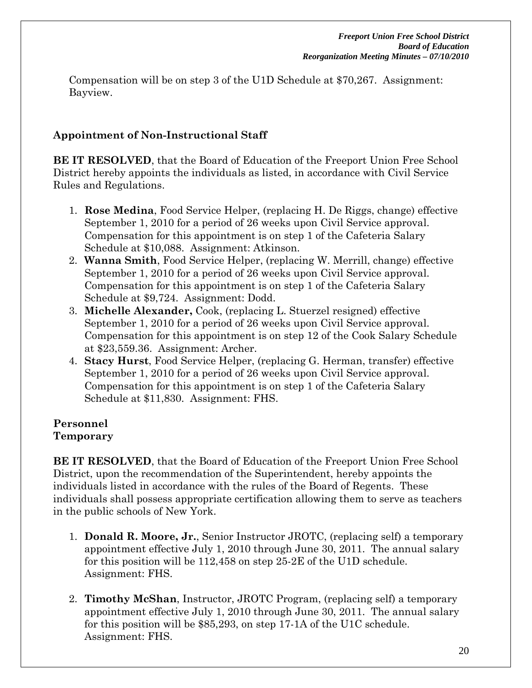Compensation will be on step 3 of the U1D Schedule at \$70,267. Assignment: Bayview.

## **Appointment of Non-Instructional Staff**

**BE IT RESOLVED**, that the Board of Education of the Freeport Union Free School District hereby appoints the individuals as listed, in accordance with Civil Service Rules and Regulations.

- 1. **Rose Medina**, Food Service Helper, (replacing H. De Riggs, change) effective September 1, 2010 for a period of 26 weeks upon Civil Service approval. Compensation for this appointment is on step 1 of the Cafeteria Salary Schedule at \$10,088. Assignment: Atkinson.
- 2. **Wanna Smith**, Food Service Helper, (replacing W. Merrill, change) effective September 1, 2010 for a period of 26 weeks upon Civil Service approval. Compensation for this appointment is on step 1 of the Cafeteria Salary Schedule at \$9,724. Assignment: Dodd.
- 3. **Michelle Alexander,** Cook, (replacing L. Stuerzel resigned) effective September 1, 2010 for a period of 26 weeks upon Civil Service approval. Compensation for this appointment is on step 12 of the Cook Salary Schedule at \$23,559.36. Assignment: Archer.
- 4. **Stacy Hurst**, Food Service Helper, (replacing G. Herman, transfer) effective September 1, 2010 for a period of 26 weeks upon Civil Service approval. Compensation for this appointment is on step 1 of the Cafeteria Salary Schedule at \$11,830. Assignment: FHS.

#### **Personnel Temporary**

**BE IT RESOLVED**, that the Board of Education of the Freeport Union Free School District, upon the recommendation of the Superintendent, hereby appoints the individuals listed in accordance with the rules of the Board of Regents. These individuals shall possess appropriate certification allowing them to serve as teachers in the public schools of New York.

- 1. **Donald R. Moore, Jr.**, Senior Instructor JROTC, (replacing self) a temporary appointment effective July 1, 2010 through June 30, 2011. The annual salary for this position will be 112,458 on step 25-2E of the U1D schedule. Assignment: FHS.
- 2. **Timothy McShan**, Instructor, JROTC Program, (replacing self) a temporary appointment effective July 1, 2010 through June 30, 2011. The annual salary for this position will be \$85,293, on step 17-1A of the U1C schedule. Assignment: FHS.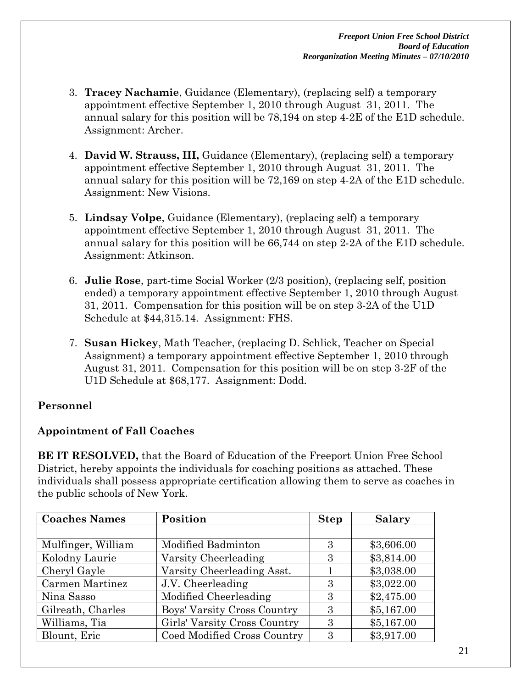- 3. **Tracey Nachamie**, Guidance (Elementary), (replacing self) a temporary appointment effective September 1, 2010 through August 31, 2011. The annual salary for this position will be 78,194 on step 4-2E of the E1D schedule. Assignment: Archer.
- 4. **David W. Strauss, III,** Guidance (Elementary), (replacing self) a temporary appointment effective September 1, 2010 through August 31, 2011. The annual salary for this position will be 72,169 on step 4-2A of the E1D schedule. Assignment: New Visions.
- 5. **Lindsay Volpe**, Guidance (Elementary), (replacing self) a temporary appointment effective September 1, 2010 through August 31, 2011. The annual salary for this position will be 66,744 on step 2-2A of the E1D schedule. Assignment: Atkinson.
- 6. **Julie Rose**, part-time Social Worker (2/3 position), (replacing self, position ended) a temporary appointment effective September 1, 2010 through August 31, 2011. Compensation for this position will be on step 3-2A of the U1D Schedule at \$44,315.14. Assignment: FHS.
- 7. **Susan Hickey**, Math Teacher, (replacing D. Schlick, Teacher on Special Assignment) a temporary appointment effective September 1, 2010 through August 31, 2011. Compensation for this position will be on step 3-2F of the U1D Schedule at \$68,177. Assignment: Dodd.

## **Personnel**

## **Appointment of Fall Coaches**

**BE IT RESOLVED,** that the Board of Education of the Freeport Union Free School District, hereby appoints the individuals for coaching positions as attached. These individuals shall possess appropriate certification allowing them to serve as coaches in the public schools of New York.

| <b>Coaches Names</b> | Position                     | <b>Step</b> | <b>Salary</b> |
|----------------------|------------------------------|-------------|---------------|
|                      |                              |             |               |
| Mulfinger, William   | Modified Badminton           | 3           | \$3,606.00    |
| Kolodny Laurie       | Varsity Cheerleading         | 3           | \$3,814.00    |
| Cheryl Gayle         | Varsity Cheerleading Asst.   |             | \$3,038.00    |
| Carmen Martinez      | J.V. Cheerleading            | 3           | \$3,022.00    |
| Nina Sasso           | Modified Cheerleading        | З           | \$2,475.00    |
| Gilreath, Charles    | Boys' Varsity Cross Country  | 3           | \$5,167.00    |
| Williams, Tia        | Girls' Varsity Cross Country | 3           | \$5,167.00    |
| Blount, Eric         | Coed Modified Cross Country  | 3           | \$3,917.00    |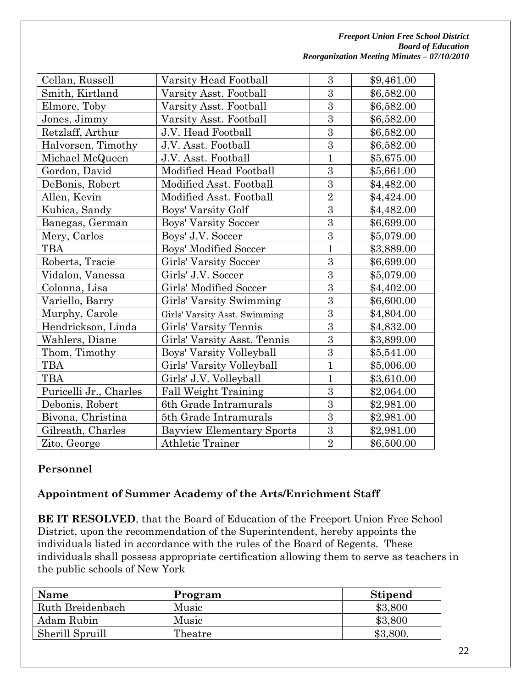| Cellan, Russell        | Varsity Head Football            | 3              | \$9,461.00 |
|------------------------|----------------------------------|----------------|------------|
| Smith, Kirtland        | Varsity Asst. Football           | $\overline{3}$ | \$6,582.00 |
| Elmore, Toby           | Varsity Asst. Football           | $\overline{3}$ | \$6,582.00 |
| Jones, Jimmy           | Varsity Asst. Football           | $\overline{3}$ | \$6,582.00 |
| Retzlaff, Arthur       | J.V. Head Football               | $\overline{3}$ | \$6,582.00 |
| Halvorsen, Timothy     | J.V. Asst. Football              | 3              | \$6,582.00 |
| Michael McQueen        | J.V. Asst. Football              | $\overline{1}$ | \$5,675.00 |
| Gordon, David          | Modified Head Football           | $\overline{3}$ | \$5,661.00 |
| DeBonis, Robert        | Modified Asst. Football          | 3              | \$4,482.00 |
| Allen, Kevin           | Modified Asst. Football          | $\overline{2}$ | \$4,424.00 |
| Kubica, Sandy          | Boys' Varsity Golf               | 3              | \$4,482.00 |
| Banegas, German        | Boys' Varsity Soccer             | $\overline{3}$ | \$6,699.00 |
| Mery, Carlos           | Boys' J.V. Soccer                | $\overline{3}$ | \$5,079.00 |
| TBA                    | Boys' Modified Soccer            | $\overline{1}$ | \$3,889.00 |
| Roberts, Tracie        | Girls' Varsity Soccer            | 3              | \$6,699.00 |
| Vidalon, Vanessa       | Girls' J.V. Soccer               | $\overline{3}$ | \$5,079.00 |
| Colonna, Lisa          | Girls' Modified Soccer           | $\overline{3}$ | \$4,402.00 |
| Variello, Barry        | Girls' Varsity Swimming          | 3              | \$6,600.00 |
| Murphy, Carole         | Girls' Varsity Asst. Swimming    | $\overline{3}$ | \$4,804.00 |
| Hendrickson, Linda     | Girls' Varsity Tennis            | $\overline{3}$ | \$4,832.00 |
| Wahlers, Diane         | Girls' Varsity Asst. Tennis      | $\overline{3}$ | \$3,899.00 |
| Thom, Timothy          | Boys' Varsity Volleyball         | $\overline{3}$ | \$5,541.00 |
| <b>TBA</b>             | Girls' Varsity Volleyball        | $\overline{1}$ | \$5,006.00 |
| <b>TBA</b>             | Girls' J.V. Volleyball           | $\mathbf{1}$   | \$3,610.00 |
| Puricelli Jr., Charles | <b>Fall Weight Training</b>      | $\overline{3}$ | \$2,064.00 |
| Debonis, Robert        | 6th Grade Intramurals            | $\overline{3}$ | \$2,981.00 |
| Bivona, Christina      | 5th Grade Intramurals            | 3              | \$2,981.00 |
| Gilreath, Charles      | <b>Bayview Elementary Sports</b> | $\overline{3}$ | \$2,981.00 |
| Zito, George           | <b>Athletic Trainer</b>          | $\overline{2}$ | \$6,500.00 |
|                        |                                  |                |            |

## **Personnel**

## **Appointment of Summer Academy of the Arts/Enrichment Staff**

**BE IT RESOLVED**, that the Board of Education of the Freeport Union Free School District, upon the recommendation of the Superintendent, hereby appoints the individuals listed in accordance with the rules of the Board of Regents. These individuals shall possess appropriate certification allowing them to serve as teachers in the public schools of New York

| <b>Name</b>      | Program | <b>Stipend</b> |
|------------------|---------|----------------|
| Ruth Breidenbach | Music   | \$3,800        |
| Adam Rubin       | Music   | \$3,800        |
| Sherill Spruill  | Theatre | \$3,800.       |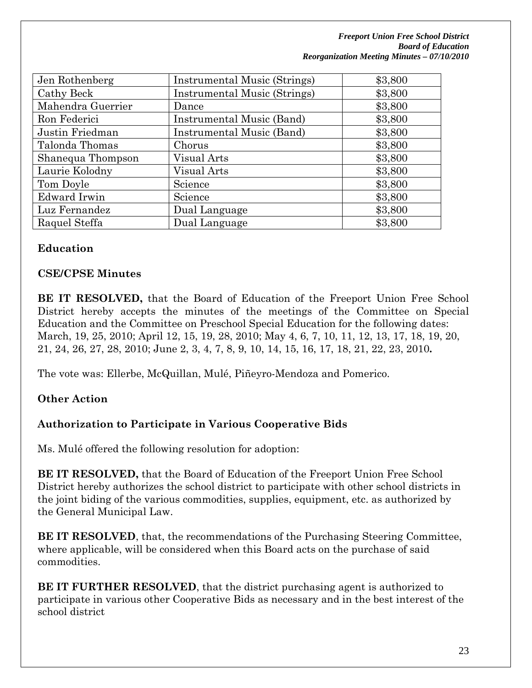*Freeport Union Free School District Board of Education Reorganization Meeting Minutes – 07/10/2010* 

| Jen Rothenberg    | Instrumental Music (Strings) | \$3,800 |
|-------------------|------------------------------|---------|
| Cathy Beck        | Instrumental Music (Strings) | \$3,800 |
| Mahendra Guerrier | Dance                        | \$3,800 |
| Ron Federici      | Instrumental Music (Band)    | \$3,800 |
| Justin Friedman   | Instrumental Music (Band)    | \$3,800 |
| Talonda Thomas    | Chorus                       | \$3,800 |
| Shanequa Thompson | Visual Arts                  | \$3,800 |
| Laurie Kolodny    | Visual Arts                  | \$3,800 |
| Tom Doyle         | Science                      | \$3,800 |
| Edward Irwin      | Science                      | \$3,800 |
| Luz Fernandez     | Dual Language                | \$3,800 |
| Raquel Steffa     | Dual Language                | \$3,800 |

### **Education**

### **CSE/CPSE Minutes**

**BE IT RESOLVED,** that the Board of Education of the Freeport Union Free School District hereby accepts the minutes of the meetings of the Committee on Special Education and the Committee on Preschool Special Education for the following dates: March, 19, 25, 2010; April 12, 15, 19, 28, 2010; May 4, 6, 7, 10, 11, 12, 13, 17, 18, 19, 20, 21, 24, 26, 27, 28, 2010; June 2, 3, 4, 7, 8, 9, 10, 14, 15, 16, 17, 18, 21, 22, 23, 2010**.**

The vote was: Ellerbe, McQuillan, Mulé, Piñeyro-Mendoza and Pomerico.

### **Other Action**

### **Authorization to Participate in Various Cooperative Bids**

Ms. Mulé offered the following resolution for adoption:

**BE IT RESOLVED,** that the Board of Education of the Freeport Union Free School District hereby authorizes the school district to participate with other school districts in the joint biding of the various commodities, supplies, equipment, etc. as authorized by the General Municipal Law.

**BE IT RESOLVED**, that, the recommendations of the Purchasing Steering Committee, where applicable, will be considered when this Board acts on the purchase of said commodities.

**BE IT FURTHER RESOLVED**, that the district purchasing agent is authorized to participate in various other Cooperative Bids as necessary and in the best interest of the school district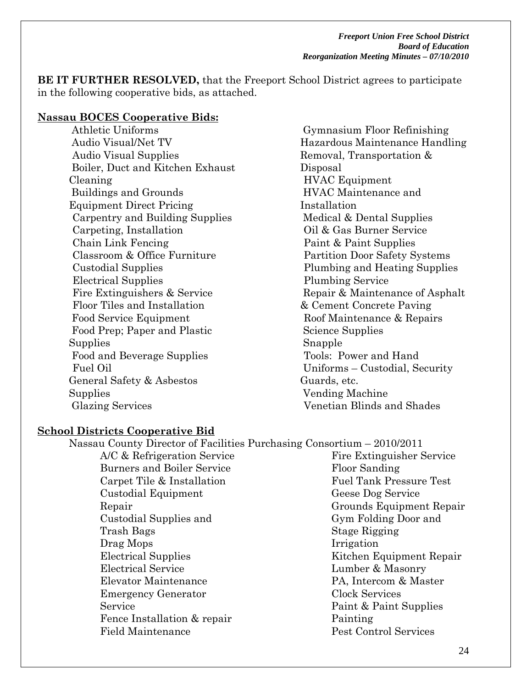**BE IT FURTHER RESOLVED,** that the Freeport School District agrees to participate in the following cooperative bids, as attached.

#### **Nassau BOCES Cooperative Bids:**

 Athletic Uniforms Audio Visual/Net TV Audio Visual Supplies Boiler, Duct and Kitchen Exhaust Cleaning Buildings and Grounds Equipment Direct Pricing Carpentry and Building Supplies Carpeting, Installation Chain Link Fencing Classroom & Office Furniture Custodial Supplies Electrical Supplies Fire Extinguishers & Service Floor Tiles and Installation Food Service Equipment Food Prep; Paper and Plastic Supplies Food and Beverage Supplies Fuel Oil General Safety & Asbestos **Supplies** Glazing Services

 Gymnasium Floor Refinishing Hazardous Maintenance Handling Removal, Transportation & Disposal HVAC Equipment HVAC Maintenance and Installation Medical & Dental Supplies Oil & Gas Burner Service Paint & Paint Supplies Partition Door Safety Systems Plumbing and Heating Supplies Plumbing Service Repair & Maintenance of Asphalt & Cement Concrete Paving Roof Maintenance & Repairs Science Supplies Snapple Tools: Power and Hand Uniforms – Custodial, Security Guards, etc. Vending Machine Venetian Blinds and Shades

#### **School Districts Cooperative Bid**

| Nassau County Director of Facilities Purchasing Consortium - 2010/2011 |                                |
|------------------------------------------------------------------------|--------------------------------|
| A/C & Refrigeration Service                                            | Fire Extinguisher Service      |
| <b>Burners and Boiler Service</b>                                      | Floor Sanding                  |
| Carpet Tile & Installation                                             | <b>Fuel Tank Pressure Test</b> |
| Custodial Equipment                                                    | Geese Dog Service              |
| Repair                                                                 | Grounds Equipment Repair       |
| Custodial Supplies and                                                 | Gym Folding Door and           |
| Trash Bags                                                             | Stage Rigging                  |
| Drag Mops                                                              | Irrigation                     |
| <b>Electrical Supplies</b>                                             | Kitchen Equipment Repair       |
| Electrical Service                                                     | Lumber & Masonry               |
| Elevator Maintenance                                                   | PA, Intercom & Master          |
| <b>Emergency Generator</b>                                             | Clock Services                 |
| Service                                                                | Paint & Paint Supplies         |
| Fence Installation & repair                                            | Painting                       |
| <b>Field Maintenance</b>                                               | Pest Control Services          |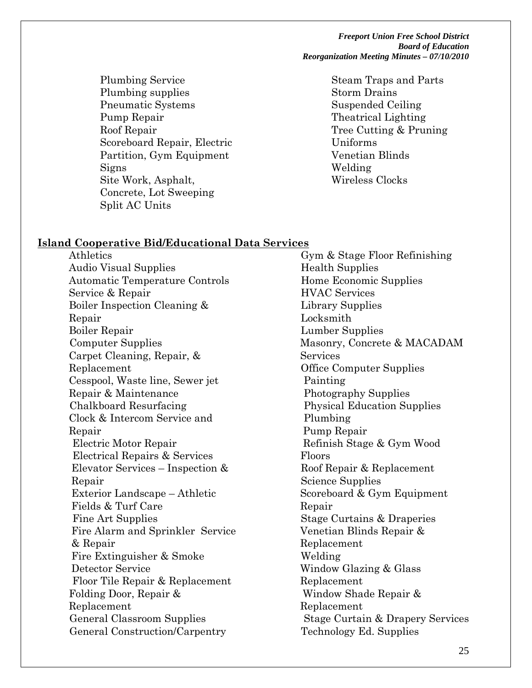*Freeport Union Free School District Board of Education Reorganization Meeting Minutes – 07/10/2010* 

 Plumbing Service Plumbing supplies Pneumatic Systems Pump Repair Roof Repair Scoreboard Repair, Electric Partition, Gym Equipment Signs Site Work, Asphalt, Concrete, Lot Sweeping Split AC Units

 Steam Traps and Parts Storm Drains Suspended Ceiling Theatrical Lighting Tree Cutting & Pruning Uniforms Venetian Blinds Welding Wireless Clocks

#### **Island Cooperative Bid/Educational Data Services**

Athletics Audio Visual Supplies Automatic Temperature Controls Service & Repair Boiler Inspection Cleaning & Repair Boiler Repair Computer Supplies Carpet Cleaning, Repair, & Replacement Cesspool, Waste line, Sewer jet Repair & Maintenance Chalkboard Resurfacing Clock & Intercom Service and Repair Electric Motor Repair Electrical Repairs & Services Elevator Services – Inspection & Repair Exterior Landscape – Athletic Fields & Turf Care Fine Art Supplies Fire Alarm and Sprinkler Service & Repair Fire Extinguisher & Smoke Detector Service Floor Tile Repair & Replacement Folding Door, Repair & Replacement General Classroom Supplies General Construction/Carpentry

 Gym & Stage Floor Refinishing Health Supplies Home Economic Supplies HVAC Services Library Supplies Locksmith Lumber Supplies Masonry, Concrete & MACADAM Services Office Computer Supplies Painting Photography Supplies Physical Education Supplies Plumbing Pump Repair Refinish Stage & Gym Wood Floors Roof Repair & Replacement Science Supplies Scoreboard & Gym Equipment Repair Stage Curtains & Draperies Venetian Blinds Repair & Replacement Welding Window Glazing & Glass Replacement Window Shade Repair & Replacement Stage Curtain & Drapery Services Technology Ed. Supplies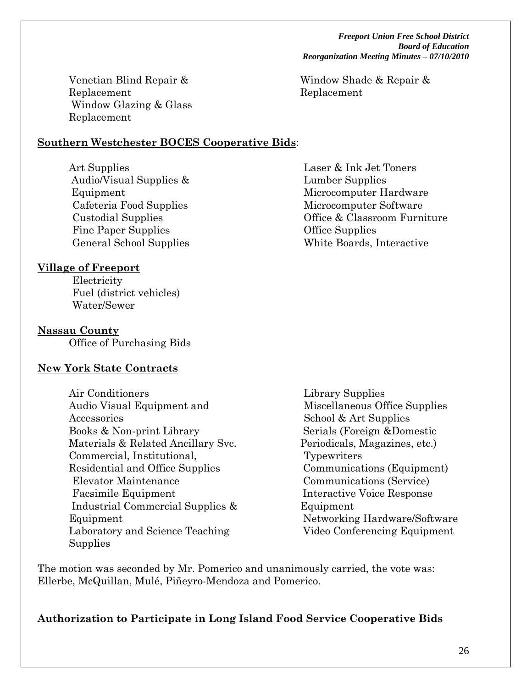*Freeport Union Free School District Board of Education Reorganization Meeting Minutes – 07/10/2010* 

Window Shade & Repair & Replacement

Laser & Ink Jet Toners

Venetian Blind Repair & Replacement Window Glazing & Glass Replacement

### **Southern Westchester BOCES Cooperative Bids**:

Art Supplies Audio/Visual Supplies & Equipment Cafeteria Food Supplies Custodial Supplies Fine Paper Supplies General School Supplies

### **Village of Freeport**

 Electricity Fuel (district vehicles) Water/Sewer

### **Nassau County**

Office of Purchasing Bids

## **New York State Contracts**

- Air Conditioners Audio Visual Equipment and Accessories Books & Non-print Library Materials & Related Ancillary Svc. Commercial, Institutional, Residential and Office Supplies Elevator Maintenance Facsimile Equipment Industrial Commercial Supplies & Equipment Laboratory and Science Teaching Supplies
- Library Supplies Miscellaneous Office Supplies School & Art Supplies Serials (Foreign &Domestic Periodicals, Magazines, etc.) Typewriters Communications (Equipment) Communications (Service) Interactive Voice Response Equipment Networking Hardware/Software Video Conferencing Equipment

The motion was seconded by Mr. Pomerico and unanimously carried, the vote was: Ellerbe, McQuillan, Mulé, Piñeyro-Mendoza and Pomerico.

## **Authorization to Participate in Long Island Food Service Cooperative Bids**

 Lumber Supplies Microcomputer Hardware Microcomputer Software Office & Classroom Furniture Office Supplies White Boards, Interactive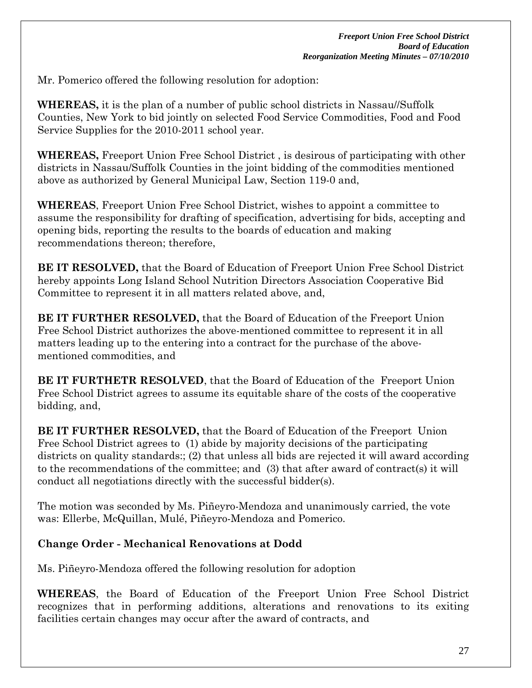Mr. Pomerico offered the following resolution for adoption:

**WHEREAS,** it is the plan of a number of public school districts in Nassau//Suffolk Counties, New York to bid jointly on selected Food Service Commodities, Food and Food Service Supplies for the 2010-2011 school year.

**WHEREAS,** Freeport Union Free School District , is desirous of participating with other districts in Nassau/Suffolk Counties in the joint bidding of the commodities mentioned above as authorized by General Municipal Law, Section 119-0 and,

**WHEREAS**, Freeport Union Free School District, wishes to appoint a committee to assume the responsibility for drafting of specification, advertising for bids, accepting and opening bids, reporting the results to the boards of education and making recommendations thereon; therefore,

**BE IT RESOLVED,** that the Board of Education of Freeport Union Free School District hereby appoints Long Island School Nutrition Directors Association Cooperative Bid Committee to represent it in all matters related above, and,

**BE IT FURTHER RESOLVED,** that the Board of Education of the Freeport Union Free School District authorizes the above-mentioned committee to represent it in all matters leading up to the entering into a contract for the purchase of the abovementioned commodities, and

**BE IT FURTHETR RESOLVED**, that the Board of Education of the Freeport Union Free School District agrees to assume its equitable share of the costs of the cooperative bidding, and,

**BE IT FURTHER RESOLVED,** that the Board of Education of the Freeport Union Free School District agrees to (1) abide by majority decisions of the participating districts on quality standards:; (2) that unless all bids are rejected it will award according to the recommendations of the committee; and (3) that after award of contract(s) it will conduct all negotiations directly with the successful bidder(s).

The motion was seconded by Ms. Piñeyro-Mendoza and unanimously carried, the vote was: Ellerbe, McQuillan, Mulé, Piñeyro-Mendoza and Pomerico.

## **Change Order - Mechanical Renovations at Dodd**

Ms. Piñeyro-Mendoza offered the following resolution for adoption

**WHEREAS**, the Board of Education of the Freeport Union Free School District recognizes that in performing additions, alterations and renovations to its exiting facilities certain changes may occur after the award of contracts, and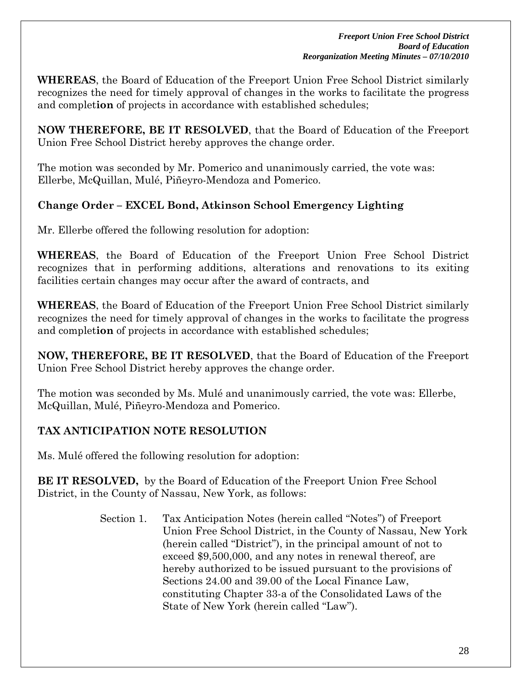**WHEREAS**, the Board of Education of the Freeport Union Free School District similarly recognizes the need for timely approval of changes in the works to facilitate the progress and complet**ion** of projects in accordance with established schedules;

**NOW THEREFORE, BE IT RESOLVED**, that the Board of Education of the Freeport Union Free School District hereby approves the change order.

The motion was seconded by Mr. Pomerico and unanimously carried, the vote was: Ellerbe, McQuillan, Mulé, Piñeyro-Mendoza and Pomerico.

### **Change Order – EXCEL Bond, Atkinson School Emergency Lighting**

Mr. Ellerbe offered the following resolution for adoption:

**WHEREAS**, the Board of Education of the Freeport Union Free School District recognizes that in performing additions, alterations and renovations to its exiting facilities certain changes may occur after the award of contracts, and

**WHEREAS**, the Board of Education of the Freeport Union Free School District similarly recognizes the need for timely approval of changes in the works to facilitate the progress and complet**ion** of projects in accordance with established schedules;

**NOW, THEREFORE, BE IT RESOLVED**, that the Board of Education of the Freeport Union Free School District hereby approves the change order.

The motion was seconded by Ms. Mulé and unanimously carried, the vote was: Ellerbe, McQuillan, Mulé, Piñeyro-Mendoza and Pomerico.

## **TAX ANTICIPATION NOTE RESOLUTION**

Ms. Mulé offered the following resolution for adoption:

**BE IT RESOLVED,** by the Board of Education of the Freeport Union Free School District, in the County of Nassau, New York, as follows:

> Section 1. Tax Anticipation Notes (herein called "Notes") of Freeport Union Free School District, in the County of Nassau, New York (herein called "District"), in the principal amount of not to exceed \$9,500,000, and any notes in renewal thereof, are hereby authorized to be issued pursuant to the provisions of Sections 24.00 and 39.00 of the Local Finance Law, constituting Chapter 33-a of the Consolidated Laws of the State of New York (herein called "Law").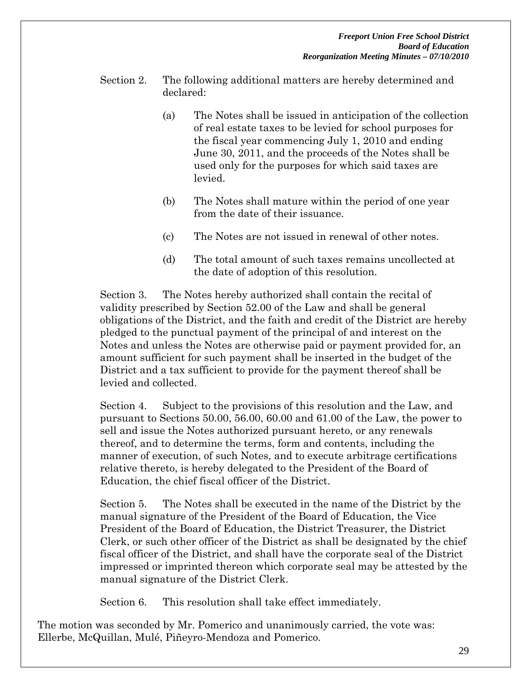- Section 2. The following additional matters are hereby determined and declared:
	- (a) The Notes shall be issued in anticipation of the collection of real estate taxes to be levied for school purposes for the fiscal year commencing July 1, 2010 and ending June 30, 2011, and the proceeds of the Notes shall be used only for the purposes for which said taxes are levied.
	- (b) The Notes shall mature within the period of one year from the date of their issuance.
	- (c) The Notes are not issued in renewal of other notes.
	- (d) The total amount of such taxes remains uncollected at the date of adoption of this resolution.

Section 3. The Notes hereby authorized shall contain the recital of validity prescribed by Section 52.00 of the Law and shall be general obligations of the District, and the faith and credit of the District are hereby pledged to the punctual payment of the principal of and interest on the Notes and unless the Notes are otherwise paid or payment provided for, an amount sufficient for such payment shall be inserted in the budget of the District and a tax sufficient to provide for the payment thereof shall be levied and collected.

Section 4. Subject to the provisions of this resolution and the Law, and pursuant to Sections 50.00, 56.00, 60.00 and 61.00 of the Law, the power to sell and issue the Notes authorized pursuant hereto, or any renewals thereof, and to determine the terms, form and contents, including the manner of execution, of such Notes, and to execute arbitrage certifications relative thereto, is hereby delegated to the President of the Board of Education, the chief fiscal officer of the District.

Section 5. The Notes shall be executed in the name of the District by the manual signature of the President of the Board of Education, the Vice President of the Board of Education, the District Treasurer, the District Clerk, or such other officer of the District as shall be designated by the chief fiscal officer of the District, and shall have the corporate seal of the District impressed or imprinted thereon which corporate seal may be attested by the manual signature of the District Clerk.

Section 6. This resolution shall take effect immediately.

The motion was seconded by Mr. Pomerico and unanimously carried, the vote was: Ellerbe, McQuillan, Mulé, Piñeyro-Mendoza and Pomerico.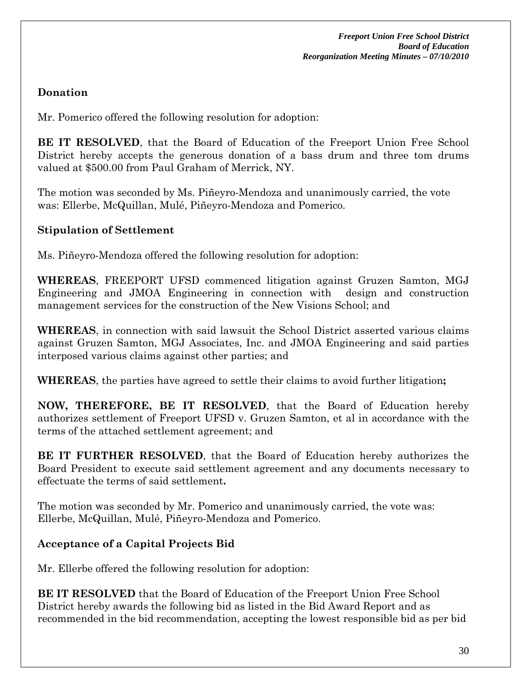## **Donation**

Mr. Pomerico offered the following resolution for adoption:

**BE IT RESOLVED**, that the Board of Education of the Freeport Union Free School District hereby accepts the generous donation of a bass drum and three tom drums valued at \$500.00 from Paul Graham of Merrick, NY.

The motion was seconded by Ms. Piñeyro-Mendoza and unanimously carried, the vote was: Ellerbe, McQuillan, Mulé, Piñeyro-Mendoza and Pomerico.

### **Stipulation of Settlement**

Ms. Piñeyro-Mendoza offered the following resolution for adoption:

**WHEREAS**, FREEPORT UFSD commenced litigation against Gruzen Samton, MGJ Engineering and JMOA Engineering in connection with design and construction management services for the construction of the New Visions School; and

**WHEREAS**, in connection with said lawsuit the School District asserted various claims against Gruzen Samton, MGJ Associates, Inc. and JMOA Engineering and said parties interposed various claims against other parties; and

**WHEREAS**, the parties have agreed to settle their claims to avoid further litigation**;** 

**NOW, THEREFORE, BE IT RESOLVED**, that the Board of Education hereby authorizes settlement of Freeport UFSD v. Gruzen Samton, et al in accordance with the terms of the attached settlement agreement; and

**BE IT FURTHER RESOLVED**, that the Board of Education hereby authorizes the Board President to execute said settlement agreement and any documents necessary to effectuate the terms of said settlement**.** 

The motion was seconded by Mr. Pomerico and unanimously carried, the vote was: Ellerbe, McQuillan, Mulé, Piñeyro-Mendoza and Pomerico.

## **Acceptance of a Capital Projects Bid**

Mr. Ellerbe offered the following resolution for adoption:

**BE IT RESOLVED** that the Board of Education of the Freeport Union Free School District hereby awards the following bid as listed in the Bid Award Report and as recommended in the bid recommendation, accepting the lowest responsible bid as per bid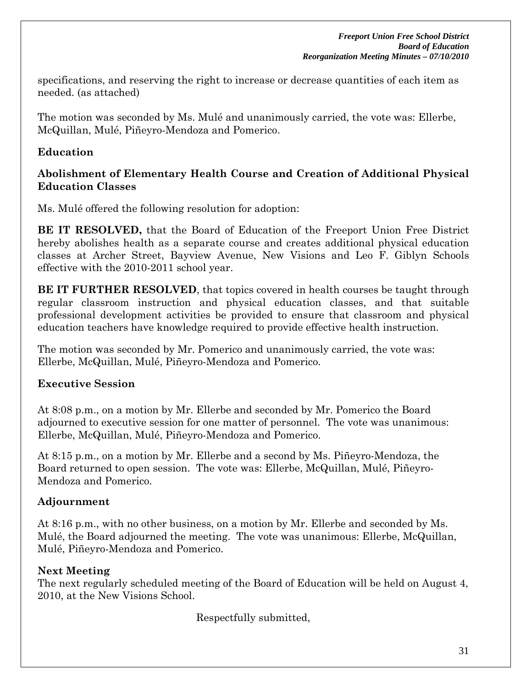specifications, and reserving the right to increase or decrease quantities of each item as needed. (as attached)

The motion was seconded by Ms. Mulé and unanimously carried, the vote was: Ellerbe, McQuillan, Mulé, Piñeyro-Mendoza and Pomerico.

### **Education**

### **Abolishment of Elementary Health Course and Creation of Additional Physical Education Classes**

Ms. Mulé offered the following resolution for adoption:

**BE IT RESOLVED,** that the Board of Education of the Freeport Union Free District hereby abolishes health as a separate course and creates additional physical education classes at Archer Street, Bayview Avenue, New Visions and Leo F. Giblyn Schools effective with the 2010-2011 school year.

**BE IT FURTHER RESOLVED**, that topics covered in health courses be taught through regular classroom instruction and physical education classes, and that suitable professional development activities be provided to ensure that classroom and physical education teachers have knowledge required to provide effective health instruction.

The motion was seconded by Mr. Pomerico and unanimously carried, the vote was: Ellerbe, McQuillan, Mulé, Piñeyro-Mendoza and Pomerico.

### **Executive Session**

At 8:08 p.m., on a motion by Mr. Ellerbe and seconded by Mr. Pomerico the Board adjourned to executive session for one matter of personnel. The vote was unanimous: Ellerbe, McQuillan, Mulé, Piñeyro-Mendoza and Pomerico.

At 8:15 p.m., on a motion by Mr. Ellerbe and a second by Ms. Piñeyro-Mendoza, the Board returned to open session. The vote was: Ellerbe, McQuillan, Mulé, Piñeyro-Mendoza and Pomerico.

## **Adjournment**

At 8:16 p.m., with no other business, on a motion by Mr. Ellerbe and seconded by Ms. Mulé, the Board adjourned the meeting. The vote was unanimous: Ellerbe, McQuillan, Mulé, Piñeyro-Mendoza and Pomerico.

## **Next Meeting**

The next regularly scheduled meeting of the Board of Education will be held on August 4, 2010, at the New Visions School.

Respectfully submitted,